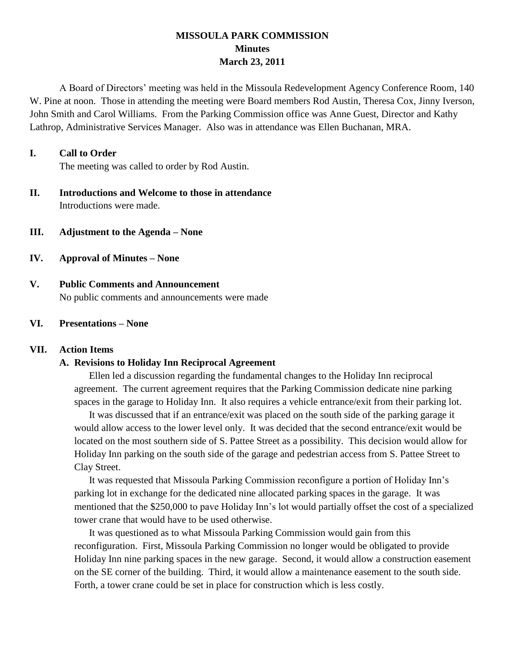## **MISSOULA PARK COMMISSION Minutes March 23, 2011**

A Board of Directors' meeting was held in the Missoula Redevelopment Agency Conference Room, 140 W. Pine at noon. Those in attending the meeting were Board members Rod Austin, Theresa Cox, Jinny Iverson, John Smith and Carol Williams. From the Parking Commission office was Anne Guest, Director and Kathy Lathrop, Administrative Services Manager. Also was in attendance was Ellen Buchanan, MRA.

### **I. Call to Order**

The meeting was called to order by Rod Austin.

- **II. Introductions and Welcome to those in attendance** Introductions were made.
- **III. Adjustment to the Agenda – None**
- **IV. Approval of Minutes – None**
- **V. Public Comments and Announcement** No public comments and announcements were made

#### **VI. Presentations – None**

#### **VII. Action Items**

#### **A. Revisions to Holiday Inn Reciprocal Agreement**

Ellen led a discussion regarding the fundamental changes to the Holiday Inn reciprocal agreement. The current agreement requires that the Parking Commission dedicate nine parking spaces in the garage to Holiday Inn. It also requires a vehicle entrance/exit from their parking lot.

It was discussed that if an entrance/exit was placed on the south side of the parking garage it would allow access to the lower level only. It was decided that the second entrance/exit would be located on the most southern side of S. Pattee Street as a possibility. This decision would allow for Holiday Inn parking on the south side of the garage and pedestrian access from S. Pattee Street to Clay Street.

It was requested that Missoula Parking Commission reconfigure a portion of Holiday Inn's parking lot in exchange for the dedicated nine allocated parking spaces in the garage. It was mentioned that the \$250,000 to pave Holiday Inn's lot would partially offset the cost of a specialized tower crane that would have to be used otherwise.

It was questioned as to what Missoula Parking Commission would gain from this reconfiguration. First, Missoula Parking Commission no longer would be obligated to provide Holiday Inn nine parking spaces in the new garage. Second, it would allow a construction easement on the SE corner of the building. Third, it would allow a maintenance easement to the south side. Forth, a tower crane could be set in place for construction which is less costly.